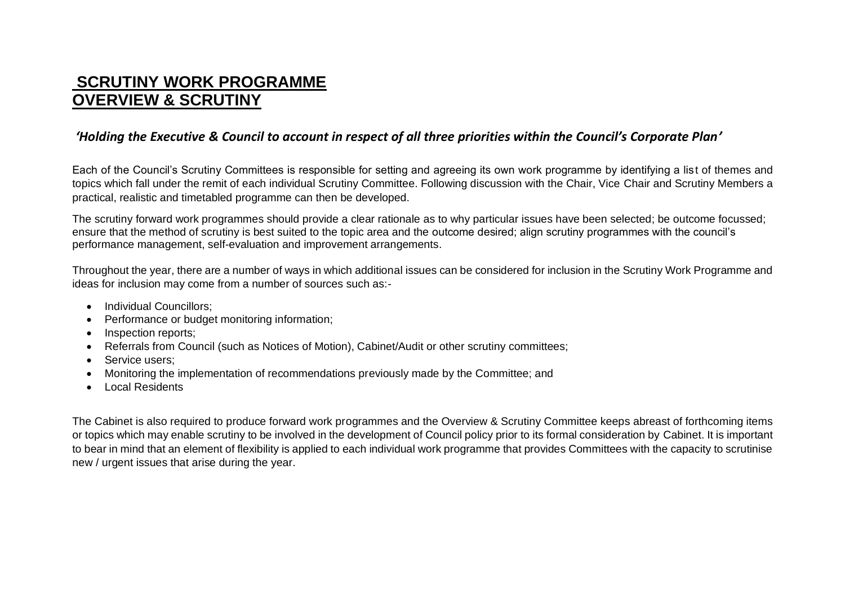## **SCRUTINY WORK PROGRAMME OVERVIEW & SCRUTINY**

## *'Holding the Executive & Council to account in respect of all three priorities within the Council's Corporate Plan'*

Each of the Council's Scrutiny Committees is responsible for setting and agreeing its own work programme by identifying a list of themes and topics which fall under the remit of each individual Scrutiny Committee. Following discussion with the Chair, Vice Chair and Scrutiny Members a practical, realistic and timetabled programme can then be developed.

The scrutiny forward work programmes should provide a clear rationale as to why particular issues have been selected; be outcome focussed; ensure that the method of scrutiny is best suited to the topic area and the outcome desired; align scrutiny programmes with the council's performance management, self-evaluation and improvement arrangements.

Throughout the year, there are a number of ways in which additional issues can be considered for inclusion in the Scrutiny Work Programme and ideas for inclusion may come from a number of sources such as:-

- Individual Councillors:
- Performance or budget monitoring information;
- Inspection reports:
- Referrals from Council (such as Notices of Motion), Cabinet/Audit or other scrutiny committees;
- Service users:
- Monitoring the implementation of recommendations previously made by the Committee; and
- Local Residents

The Cabinet is also required to produce forward work programmes and the Overview & Scrutiny Committee keeps abreast of forthcoming items or topics which may enable scrutiny to be involved in the development of Council policy prior to its formal consideration by Cabinet. It is important to bear in mind that an element of flexibility is applied to each individual work programme that provides Committees with the capacity to scrutinise new / urgent issues that arise during the year.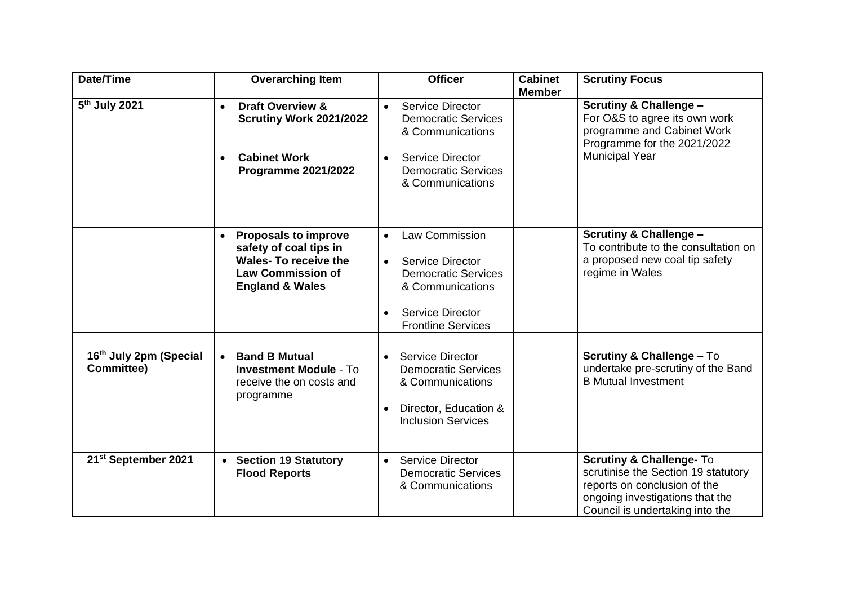| Date/Time                                   | <b>Overarching Item</b>                                                                                                                        | <b>Officer</b>                                                                                                                                                   | <b>Cabinet</b><br><b>Member</b> | <b>Scrutiny Focus</b>                                                                                                                                                            |
|---------------------------------------------|------------------------------------------------------------------------------------------------------------------------------------------------|------------------------------------------------------------------------------------------------------------------------------------------------------------------|---------------------------------|----------------------------------------------------------------------------------------------------------------------------------------------------------------------------------|
| 5 <sup>th</sup> July 2021                   | <b>Draft Overview &amp;</b><br>$\bullet$<br><b>Scrutiny Work 2021/2022</b><br><b>Cabinet Work</b><br>$\bullet$<br><b>Programme 2021/2022</b>   | Service Director<br>$\bullet$<br><b>Democratic Services</b><br>& Communications<br><b>Service Director</b><br><b>Democratic Services</b><br>& Communications     |                                 | <b>Scrutiny &amp; Challenge -</b><br>For O&S to agree its own work<br>programme and Cabinet Work<br>Programme for the 2021/2022<br><b>Municipal Year</b>                         |
|                                             | <b>Proposals to improve</b><br>safety of coal tips in<br><b>Wales-To receive the</b><br><b>Law Commission of</b><br><b>England &amp; Wales</b> | <b>Law Commission</b><br>$\bullet$<br>Service Director<br><b>Democratic Services</b><br>& Communications<br><b>Service Director</b><br><b>Frontline Services</b> |                                 | <b>Scrutiny &amp; Challenge -</b><br>To contribute to the consultation on<br>a proposed new coal tip safety<br>regime in Wales                                                   |
| 16th July 2pm (Special<br><b>Committee)</b> | <b>Band B Mutual</b><br>$\bullet$<br><b>Investment Module - To</b><br>receive the on costs and<br>programme                                    | <b>Service Director</b><br>$\bullet$<br><b>Democratic Services</b><br>& Communications<br>Director, Education &<br><b>Inclusion Services</b>                     |                                 | <b>Scrutiny &amp; Challenge - To</b><br>undertake pre-scrutiny of the Band<br><b>B</b> Mutual Investment                                                                         |
| 21 <sup>st</sup> September 2021             | <b>Section 19 Statutory</b><br>$\bullet$<br><b>Flood Reports</b>                                                                               | <b>Service Director</b><br>$\bullet$<br><b>Democratic Services</b><br>& Communications                                                                           |                                 | <b>Scrutiny &amp; Challenge- To</b><br>scrutinise the Section 19 statutory<br>reports on conclusion of the<br>ongoing investigations that the<br>Council is undertaking into the |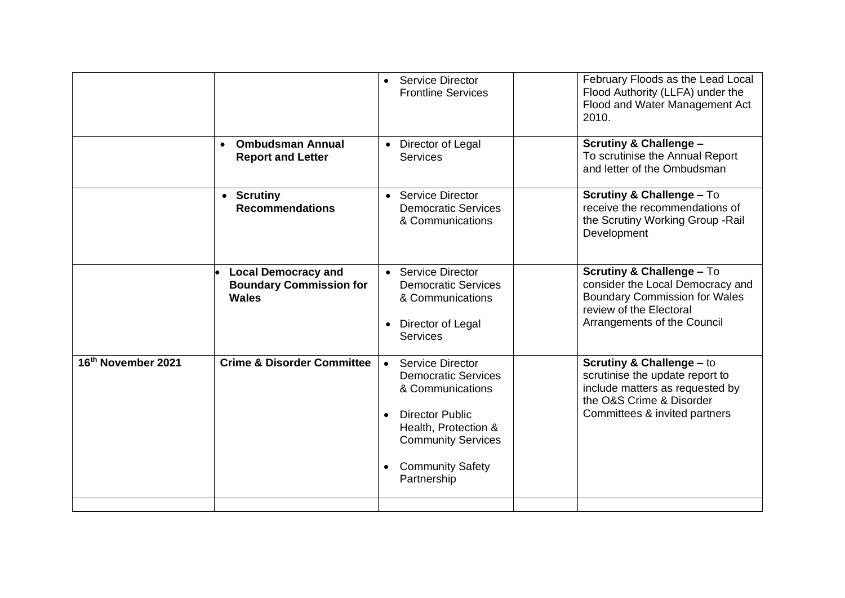|                    |                                                                              | <b>Service Director</b><br>$\bullet$<br><b>Frontline Services</b>                                                                                                                                        | February Floods as the Lead Local<br>Flood Authority (LLFA) under the<br>Flood and Water Management Act<br>2010.                                                           |
|--------------------|------------------------------------------------------------------------------|----------------------------------------------------------------------------------------------------------------------------------------------------------------------------------------------------------|----------------------------------------------------------------------------------------------------------------------------------------------------------------------------|
|                    | <b>Ombudsman Annual</b><br>$\bullet$<br><b>Report and Letter</b>             | Director of Legal<br><b>Services</b>                                                                                                                                                                     | <b>Scrutiny &amp; Challenge -</b><br>To scrutinise the Annual Report<br>and letter of the Ombudsman                                                                        |
|                    | • Scrutiny<br><b>Recommendations</b>                                         | <b>Service Director</b><br>$\bullet$<br><b>Democratic Services</b><br>& Communications                                                                                                                   | <b>Scrutiny &amp; Challenge - To</b><br>receive the recommendations of<br>the Scrutiny Working Group - Rail<br>Development                                                 |
|                    | <b>Local Democracy and</b><br><b>Boundary Commission for</b><br><b>Wales</b> | Service Director<br>$\bullet$<br><b>Democratic Services</b><br>& Communications<br>Director of Legal<br><b>Services</b>                                                                                  | <b>Scrutiny &amp; Challenge - To</b><br>consider the Local Democracy and<br><b>Boundary Commission for Wales</b><br>review of the Electoral<br>Arrangements of the Council |
| 16th November 2021 | <b>Crime &amp; Disorder Committee</b>                                        | Service Director<br>$\bullet$<br><b>Democratic Services</b><br>& Communications<br><b>Director Public</b><br>Health, Protection &<br><b>Community Services</b><br><b>Community Safety</b><br>Partnership | <b>Scrutiny &amp; Challenge - to</b><br>scrutinise the update report to<br>include matters as requested by<br>the O&S Crime & Disorder<br>Committees & invited partners    |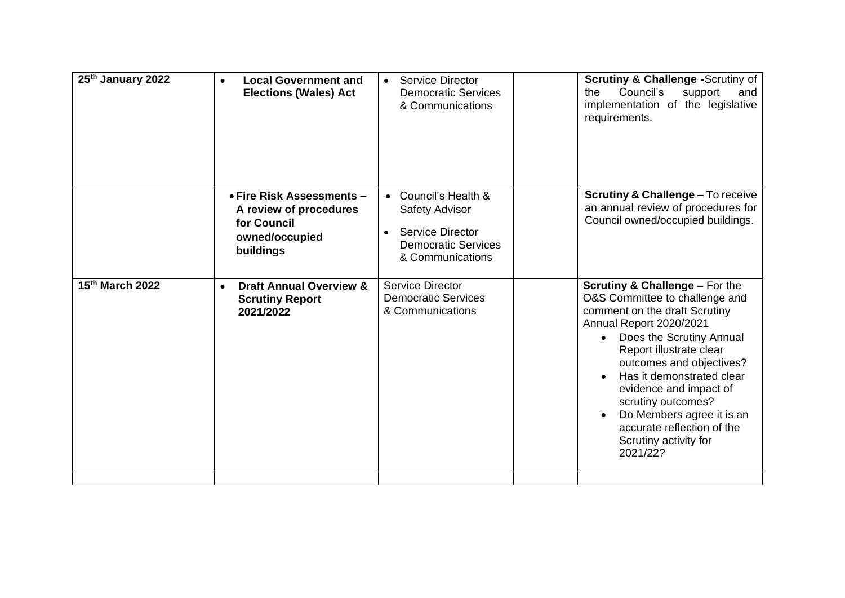| 25th January 2022            | <b>Local Government and</b><br><b>Elections (Wales) Act</b>                                       | Service Director<br>$\bullet$<br><b>Democratic Services</b><br>& Communications                                     | <b>Scrutiny &amp; Challenge -Scrutiny of</b><br>Council's<br>support<br>the<br>and<br>implementation of the legislative<br>requirements.                                                                                                                                                                                                                                                                                          |
|------------------------------|---------------------------------------------------------------------------------------------------|---------------------------------------------------------------------------------------------------------------------|-----------------------------------------------------------------------------------------------------------------------------------------------------------------------------------------------------------------------------------------------------------------------------------------------------------------------------------------------------------------------------------------------------------------------------------|
|                              | • Fire Risk Assessments -<br>A review of procedures<br>for Council<br>owned/occupied<br>buildings | • Council's Health &<br>Safety Advisor<br><b>Service Director</b><br><b>Democratic Services</b><br>& Communications | <b>Scrutiny &amp; Challenge - To receive</b><br>an annual review of procedures for<br>Council owned/occupied buildings.                                                                                                                                                                                                                                                                                                           |
| 15th March 2022<br>$\bullet$ | <b>Draft Annual Overview &amp;</b><br><b>Scrutiny Report</b><br>2021/2022                         | Service Director<br><b>Democratic Services</b><br>& Communications                                                  | <b>Scrutiny &amp; Challenge - For the</b><br>O&S Committee to challenge and<br>comment on the draft Scrutiny<br>Annual Report 2020/2021<br>Does the Scrutiny Annual<br>$\bullet$<br>Report illustrate clear<br>outcomes and objectives?<br>Has it demonstrated clear<br>evidence and impact of<br>scrutiny outcomes?<br>Do Members agree it is an<br>$\bullet$<br>accurate reflection of the<br>Scrutiny activity for<br>2021/22? |